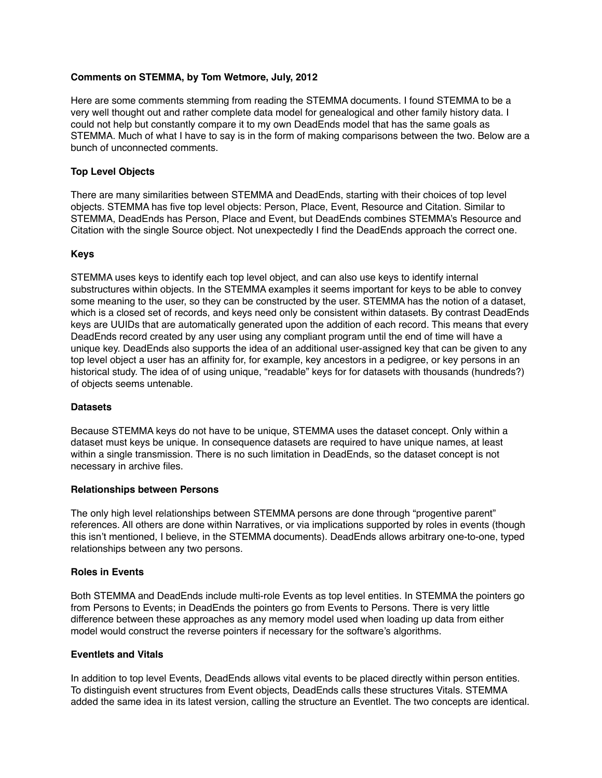# **Comments on STEMMA, by Tom Wetmore, July, 2012**

Here are some comments stemming from reading the STEMMA documents. I found STEMMA to be a very well thought out and rather complete data model for genealogical and other family history data. I could not help but constantly compare it to my own DeadEnds model that has the same goals as STEMMA. Much of what I have to say is in the form of making comparisons between the two. Below are a bunch of unconnected comments.

# **Top Level Objects**

There are many similarities between STEMMA and DeadEnds, starting with their choices of top level objects. STEMMA has five top level objects: Person, Place, Event, Resource and Citation. Similar to STEMMA, DeadEnds has Person, Place and Event, but DeadEnds combines STEMMA's Resource and Citation with the single Source object. Not unexpectedly I find the DeadEnds approach the correct one.

# **Keys**

STEMMA uses keys to identify each top level object, and can also use keys to identify internal substructures within objects. In the STEMMA examples it seems important for keys to be able to convey some meaning to the user, so they can be constructed by the user. STEMMA has the notion of a dataset, which is a closed set of records, and keys need only be consistent within datasets. By contrast DeadEnds keys are UUIDs that are automatically generated upon the addition of each record. This means that every DeadEnds record created by any user using any compliant program until the end of time will have a unique key. DeadEnds also supports the idea of an additional user-assigned key that can be given to any top level object a user has an affinity for, for example, key ancestors in a pedigree, or key persons in an historical study. The idea of of using unique, "readable" keys for for datasets with thousands (hundreds?) of objects seems untenable.

### **Datasets**

Because STEMMA keys do not have to be unique, STEMMA uses the dataset concept. Only within a dataset must keys be unique. In consequence datasets are required to have unique names, at least within a single transmission. There is no such limitation in DeadEnds, so the dataset concept is not necessary in archive files.

### **Relationships between Persons**

The only high level relationships between STEMMA persons are done through "progentive parent" references. All others are done within Narratives, or via implications supported by roles in events (though this isn't mentioned, I believe, in the STEMMA documents). DeadEnds allows arbitrary one-to-one, typed relationships between any two persons.

### **Roles in Events**

Both STEMMA and DeadEnds include multi-role Events as top level entities. In STEMMA the pointers go from Persons to Events; in DeadEnds the pointers go from Events to Persons. There is very little difference between these approaches as any memory model used when loading up data from either model would construct the reverse pointers if necessary for the software's algorithms.

#### **Eventlets and Vitals**

In addition to top level Events, DeadEnds allows vital events to be placed directly within person entities. To distinguish event structures from Event objects, DeadEnds calls these structures Vitals. STEMMA added the same idea in its latest version, calling the structure an Eventlet. The two concepts are identical.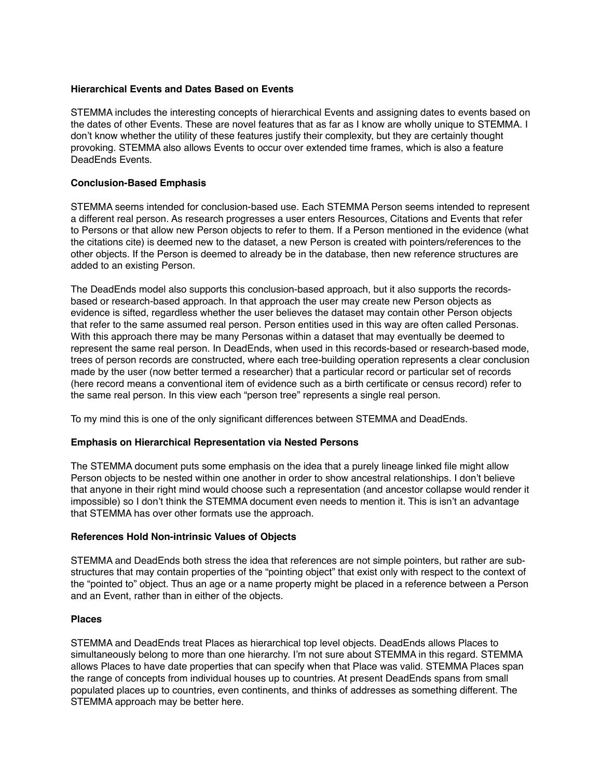# **Hierarchical Events and Dates Based on Events**

STEMMA includes the interesting concepts of hierarchical Events and assigning dates to events based on the dates of other Events. These are novel features that as far as I know are wholly unique to STEMMA. I don't know whether the utility of these features justify their complexity, but they are certainly thought provoking. STEMMA also allows Events to occur over extended time frames, which is also a feature DeadEnds Events.

# **Conclusion-Based Emphasis**

STEMMA seems intended for conclusion-based use. Each STEMMA Person seems intended to represent a different real person. As research progresses a user enters Resources, Citations and Events that refer to Persons or that allow new Person objects to refer to them. If a Person mentioned in the evidence (what the citations cite) is deemed new to the dataset, a new Person is created with pointers/references to the other objects. If the Person is deemed to already be in the database, then new reference structures are added to an existing Person.

The DeadEnds model also supports this conclusion-based approach, but it also supports the recordsbased or research-based approach. In that approach the user may create new Person objects as evidence is sifted, regardless whether the user believes the dataset may contain other Person objects that refer to the same assumed real person. Person entities used in this way are often called Personas. With this approach there may be many Personas within a dataset that may eventually be deemed to represent the same real person. In DeadEnds, when used in this records-based or research-based mode, trees of person records are constructed, where each tree-building operation represents a clear conclusion made by the user (now better termed a researcher) that a particular record or particular set of records (here record means a conventional item of evidence such as a birth certificate or census record) refer to the same real person. In this view each "person tree" represents a single real person.

To my mind this is one of the only significant differences between STEMMA and DeadEnds.

### **Emphasis on Hierarchical Representation via Nested Persons**

The STEMMA document puts some emphasis on the idea that a purely lineage linked file might allow Person objects to be nested within one another in order to show ancestral relationships. I don't believe that anyone in their right mind would choose such a representation (and ancestor collapse would render it impossible) so I don't think the STEMMA document even needs to mention it. This is isn't an advantage that STEMMA has over other formats use the approach.

### **References Hold Non-intrinsic Values of Objects**

STEMMA and DeadEnds both stress the idea that references are not simple pointers, but rather are substructures that may contain properties of the "pointing object" that exist only with respect to the context of the "pointed to" object. Thus an age or a name property might be placed in a reference between a Person and an Event, rather than in either of the objects.

### **Places**

STEMMA and DeadEnds treat Places as hierarchical top level objects. DeadEnds allows Places to simultaneously belong to more than one hierarchy. I'm not sure about STEMMA in this regard. STEMMA allows Places to have date properties that can specify when that Place was valid. STEMMA Places span the range of concepts from individual houses up to countries. At present DeadEnds spans from small populated places up to countries, even continents, and thinks of addresses as something different. The STEMMA approach may be better here.